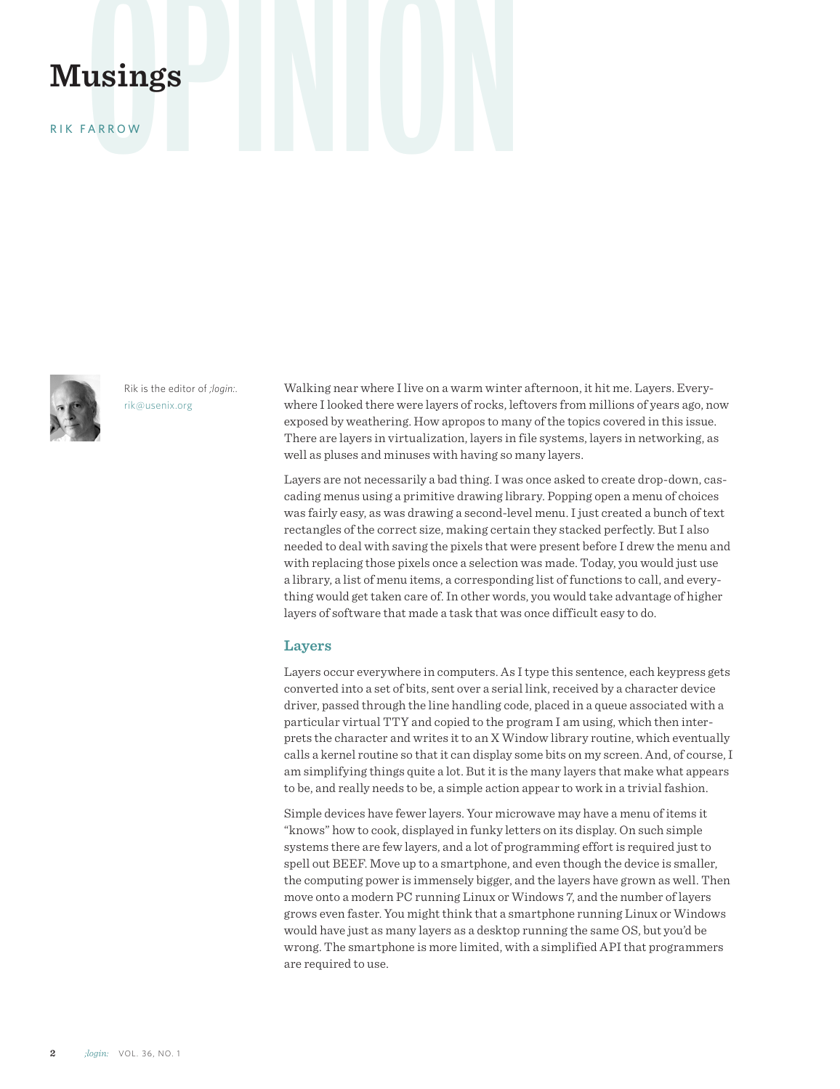# **Musings**

RIK FARROW



Rik is the editor of *;login:*. rik@usenix.org

Walking near where I live on a warm winter afternoon, it hit me. Layers. Everywhere I looked there were layers of rocks, leftovers from millions of years ago, now exposed by weathering. How apropos to many of the topics covered in this issue. There are layers in virtualization, layers in file systems, layers in networking, as well as pluses and minuses with having so many layers.

Layers are not necessarily a bad thing. I was once asked to create drop-down, cascading menus using a primitive drawing library. Popping open a menu of choices was fairly easy, as was drawing a second-level menu. I just created a bunch of text rectangles of the correct size, making certain they stacked perfectly. But I also needed to deal with saving the pixels that were present before I drew the menu and with replacing those pixels once a selection was made. Today, you would just use a library, a list of menu items, a corresponding list of functions to call, and everything would get taken care of. In other words, you would take advantage of higher layers of software that made a task that was once difficult easy to do.

### **Layers**

Layers occur everywhere in computers. As I type this sentence, each keypress gets converted into a set of bits, sent over a serial link, received by a character device driver, passed through the line handling code, placed in a queue associated with a particular virtual TTY and copied to the program I am using, which then interprets the character and writes it to an X Window library routine, which eventually calls a kernel routine so that it can display some bits on my screen. And, of course, I am simplifying things quite a lot. But it is the many layers that make what appears to be, and really needs to be, a simple action appear to work in a trivial fashion.

Simple devices have fewer layers. Your microwave may have a menu of items it "knows" how to cook, displayed in funky letters on its display. On such simple systems there are few layers, and a lot of programming effort is required just to spell out BEEF. Move up to a smartphone, and even though the device is smaller, the computing power is immensely bigger, and the layers have grown as well. Then move onto a modern PC running Linux or Windows 7, and the number of layers grows even faster. You might think that a smartphone running Linux or Windows would have just as many layers as a desktop running the same OS, but you'd be wrong. The smartphone is more limited, with a simplified API that programmers are required to use.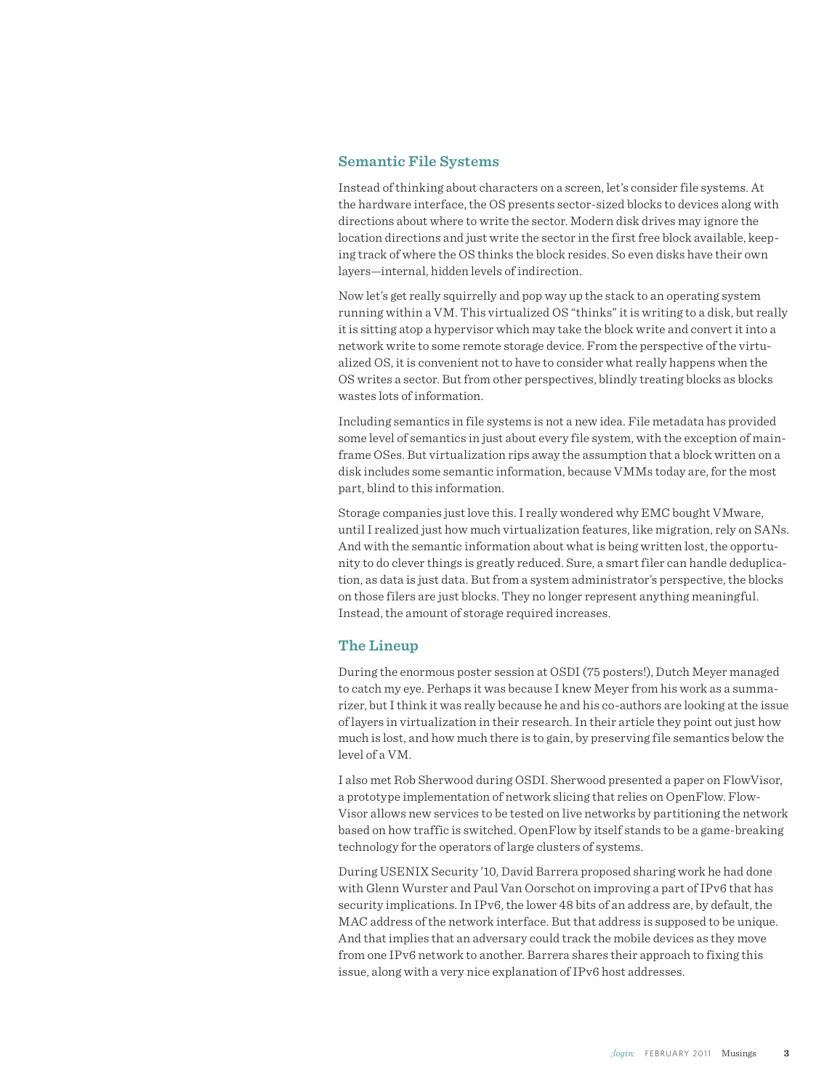# **Semantic File Systems**

Instead of thinking about characters on a screen, let's consider file systems. At the hardware interface, the OS presents sector-sized blocks to devices along with directions about where to write the sector. Modern disk drives may ignore the location directions and just write the sector in the first free block available, keeping track of where the OS thinks the block resides. So even disks have their own layers—internal, hidden levels of indirection.

Now let's get really squirrelly and pop way up the stack to an operating system running within a VM. This virtualized OS "thinks" it is writing to a disk, but really it is sitting atop a hypervisor which may take the block write and convert it into a network write to some remote storage device. From the perspective of the virtualized OS, it is convenient not to have to consider what really happens when the OS writes a sector. But from other perspectives, blindly treating blocks as blocks wastes lots of information.

Including semantics in file systems is not a new idea. File metadata has provided some level of semantics in just about every file system, with the exception of mainframe OSes. But virtualization rips away the assumption that a block written on a disk includes some semantic information, because VMMs today are, for the most part, blind to this information.

Storage companies just love this. I really wondered why EMC bought VMware, until I realized just how much virtualization features, like migration, rely on SANs. And with the semantic information about what is being written lost, the opportunity to do clever things is greatly reduced. Sure, a smart filer can handle deduplication, as data is just data. But from a system administrator's perspective, the blocks on those filers are just blocks. They no longer represent anything meaningful. Instead, the amount of storage required increases.

# **The Lineup**

During the enormous poster session at OSDI (75 posters!), Dutch Meyer managed to catch my eye. Perhaps it was because I knew Meyer from his work as a summarizer, but I think it was really because he and his co-authors are looking at the issue of layers in virtualization in their research. In their article they point out just how much is lost, and how much there is to gain, by preserving file semantics below the level of a VM.

I also met Rob Sherwood during OSDI. Sherwood presented a paper on FlowVisor, a prototype implementation of network slicing that relies on OpenFlow. Flow-Visor allows new services to be tested on live networks by partitioning the network based on how traffic is switched. OpenFlow by itself stands to be a game-breaking technology for the operators of large clusters of systems.

During USENIX Security '10, David Barrera proposed sharing work he had done with Glenn Wurster and Paul Van Oorschot on improving a part of IPv6 that has security implications. In IPv6, the lower 48 bits of an address are, by default, the MAC address of the network interface. But that address is supposed to be unique. And that implies that an adversary could track the mobile devices as they move from one IPv6 network to another. Barrera shares their approach to fixing this issue, along with a very nice explanation of IPv6 host addresses.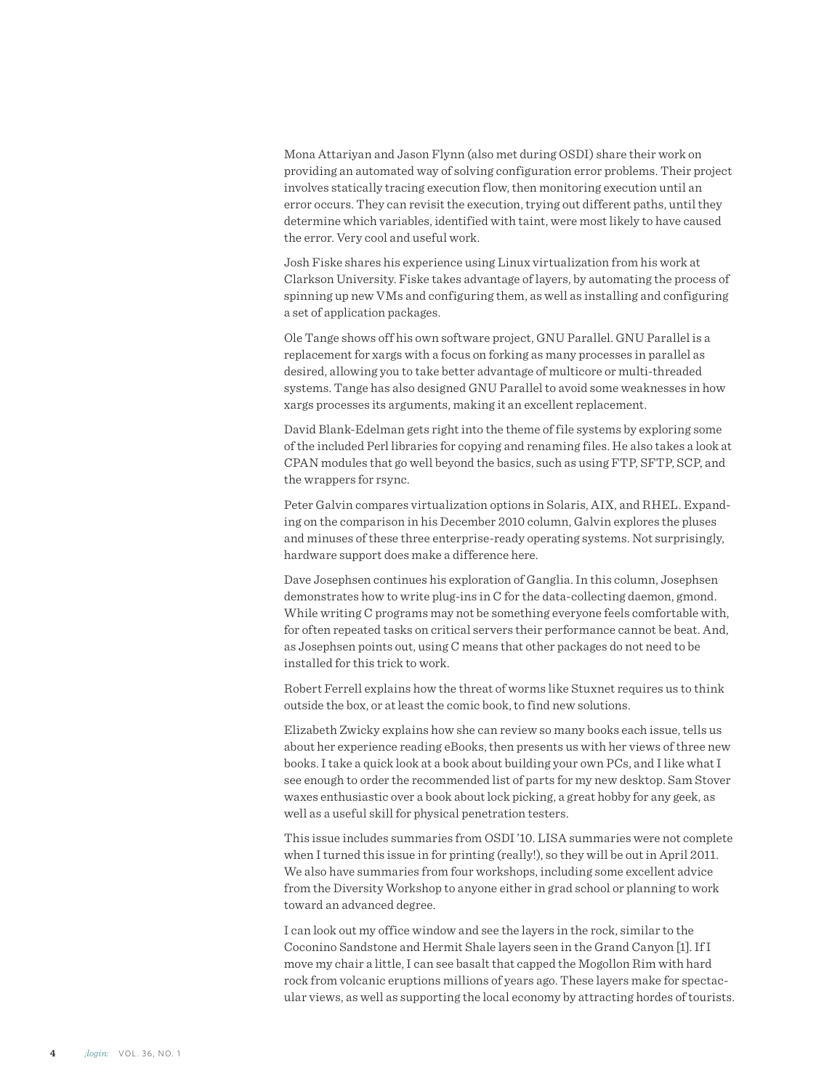Mona Attariyan and Jason Flynn (also met during OSDI) share their work on providing an automated way of solving configuration error problems. Their project involves statically tracing execution flow, then monitoring execution until an error occurs. They can revisit the execution, trying out different paths, until they determine which variables, identified with taint, were most likely to have caused the error. Very cool and useful work.

Josh Fiske shares his experience using Linux virtualization from his work at Clarkson University. Fiske takes advantage of layers, by automating the process of spinning up new VMs and configuring them, as well as installing and configuring a set of application packages.

Ole Tange shows off his own software project, GNU Parallel. GNU Parallel is a replacement for xargs with a focus on forking as many processes in parallel as desired, allowing you to take better advantage of multicore or multi-threaded systems. Tange has also designed GNU Parallel to avoid some weaknesses in how xargs processes its arguments, making it an excellent replacement.

David Blank-Edelman gets right into the theme of file systems by exploring some of the included Perl libraries for copying and renaming files. He also takes a look at CPAN modules that go well beyond the basics, such as using FTP, SFTP, SCP, and the wrappers for rsync.

Peter Galvin compares virtualization options in Solaris, AIX, and RHEL. Expanding on the comparison in his December 2010 column, Galvin explores the pluses and minuses of these three enterprise-ready operating systems. Not surprisingly, hardware support does make a difference here.

Dave Josephsen continues his exploration of Ganglia. In this column, Josephsen demonstrates how to write plug-ins in C for the data-collecting daemon, gmond. While writing C programs may not be something everyone feels comfortable with, for often repeated tasks on critical servers their performance cannot be beat. And, as Josephsen points out, using C means that other packages do not need to be installed for this trick to work.

Robert Ferrell explains how the threat of worms like Stuxnet requires us to think outside the box, or at least the comic book, to find new solutions.

Elizabeth Zwicky explains how she can review so many books each issue, tells us about her experience reading eBooks, then presents us with her views of three new books. I take a quick look at a book about building your own PCs, and I like what I see enough to order the recommended list of parts for my new desktop. Sam Stover waxes enthusiastic over a book about lock picking, a great hobby for any geek, as well as a useful skill for physical penetration testers.

This issue includes summaries from OSDI '10. LISA summaries were not complete when I turned this issue in for printing (really!), so they will be out in April 2011. We also have summaries from four workshops, including some excellent advice from the Diversity Workshop to anyone either in grad school or planning to work toward an advanced degree.

I can look out my office window and see the layers in the rock, similar to the Coconino Sandstone and Hermit Shale layers seen in the Grand Canyon [1]. If I move my chair a little, I can see basalt that capped the Mogollon Rim with hard rock from volcanic eruptions millions of years ago. These layers make for spectacular views, as well as supporting the local economy by attracting hordes of tourists.